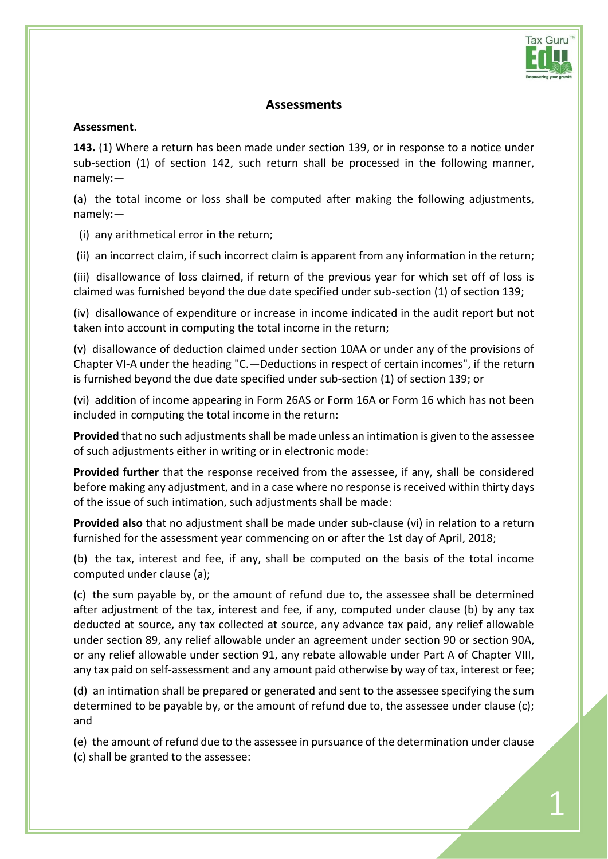

# **Assessments**

### **Assessment**.

**143.** (1) Where a return has been made under [section 139,](javascript:ShowMainContent() or in response to a notice under sub-section (1) of [section 142,](javascript:ShowMainContent() such return shall be processed in the following manner, namely:—

(a) the total income or loss shall be computed after making the following adjustments, namely:—

(i) any arithmetical error in the return;

(ii) an incorrect claim, if such incorrect claim is apparent from any information in the return;

(iii) disallowance of loss claimed, if return of the previous year for which set off of loss is claimed was furnished beyond the due date specified under sub-section (1) of [section 139;](javascript:ShowMainContent()

(iv) disallowance of expenditure or increase in income indicated in the audit report but not taken into account in computing the total income in the return;

(v) disallowance of deduction claimed under section 10AA or under any of the provisions of Chapter VI-A under the heading "C.—Deductions in respect of certain incomes", if the return is furnished beyond the due date specified under sub-section (1) of [section 139;](javascript:ShowMainContent() or

(vi) addition of income appearing in Form 26AS or Form 16A or Form 16 which has not been included in computing the total income in the return:

**Provided** that no such adjustments shall be made unless an intimation is given to the assessee of such adjustments either in writing or in electronic mode:

**Provided further** that the response received from the assessee, if any, shall be considered before making any adjustment, and in a case where no response is received within thirty days of the issue of such intimation, such adjustments shall be made:

**Provided also** that no adjustment shall be made under sub-clause (vi) in relation to a return furnished for the assessment year commencing on or after the 1st day of April, 2018;

(b) the tax, interest and fee, if any, shall be computed on the basis of the total income computed under clause (a);

(c) the sum payable by, or the amount of refund due to, the assessee shall be determined after adjustment of the tax, interest and fee, if any, computed under clause (b) by any tax deducted at source, any tax collected at source, any advance tax paid, any relief allowable under [section 89,](javascript:ShowMainContent() any relief allowable under an agreement under [section 90](javascript:ShowMainContent() or [section 90A,](javascript:ShowMainContent() or any relief allowable under [section 91,](javascript:ShowMainContent() any rebate allowable under Part A of Chapter VIII, any tax paid on self-assessment and any amount paid otherwise by way of tax, interest or fee;

(d) an intimation shall be prepared or generated and sent to the assessee specifying the sum determined to be payable by, or the amount of refund due to, the assessee under clause (c); and

(e) the amount of refund due to the assessee in pursuance of the determination under clause (c) shall be granted to the assessee: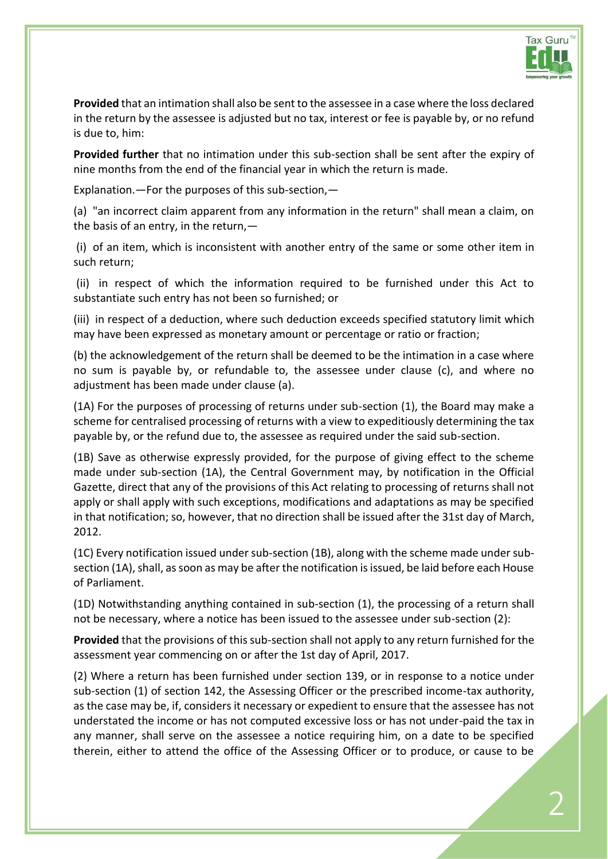

**Provided** that an intimation shall also be sent to the assessee in a case where the loss declared in the return by the assessee is adjusted but no tax, interest or fee is payable by, or no refund is due to, him:

**Provided further** that no intimation under this sub-section shall be sent after the expiry of nine months from the end of the financial year in which the return is made.

Explanation.—For the purposes of this sub-section,—

(a) "an incorrect claim apparent from any information in the return" shall mean a claim, on the basis of an entry, in the return,—

(i) of an item, which is inconsistent with another entry of the same or some other item in such return;

(ii) in respect of which the information required to be furnished under this Act to substantiate such entry has not been so furnished; or

(iii) in respect of a deduction, where such deduction exceeds specified statutory limit which may have been expressed as monetary amount or percentage or ratio or fraction;

(b) the acknowledgement of the return shall be deemed to be the intimation in a case where no sum is payable by, or refundable to, the assessee under clause (c), and where no adjustment has been made under clause (a).

(1A) For the purposes of processing of returns under sub-section (1), the Board may make a scheme for centralised processing of returns with a view to expeditiously determining the tax payable by, or the refund due to, the assessee as required under the said sub-section.

(1B) Save as otherwise expressly provided, for the purpose of giving effect to the scheme made under sub-section (1A), the Central Government may, by notification in the Official Gazette, direct that any of the provisions of this Act relating to processing of returns shall not apply or shall apply with such exceptions, modifications and adaptations as may be specified in that notification; so, however, that no direction shall be issued after the 31st day of March, 2012.

(1C) Every notification issued under sub-section (1B), along with the scheme made under subsection (1A), shall, as soon as may be after the notification is issued, be laid before each House of Parliament.

(1D) Notwithstanding anything contained in sub-section (1), the processing of a return shall not be necessary, where a notice has been issued to the assessee under sub-section (2):

**Provided** that the provisions of this sub-section shall not apply to any return furnished for the assessment year commencing on or after the 1st day of April, 2017.

(2) Where a return has been furnished under [section 139,](javascript:ShowMainContent() or in response to a notice under sub-section (1) of [section 142,](javascript:ShowMainContent() the Assessing Officer or the prescribed income-tax authority, as the case may be, if, considers it necessary or expedient to ensure that the assessee has not understated the income or has not computed excessive loss or has not under-paid the tax in any manner, shall serve on the assessee a notice requiring him, on a date to be specified therein, either to attend the office of the Assessing Officer or to produce, or cause to be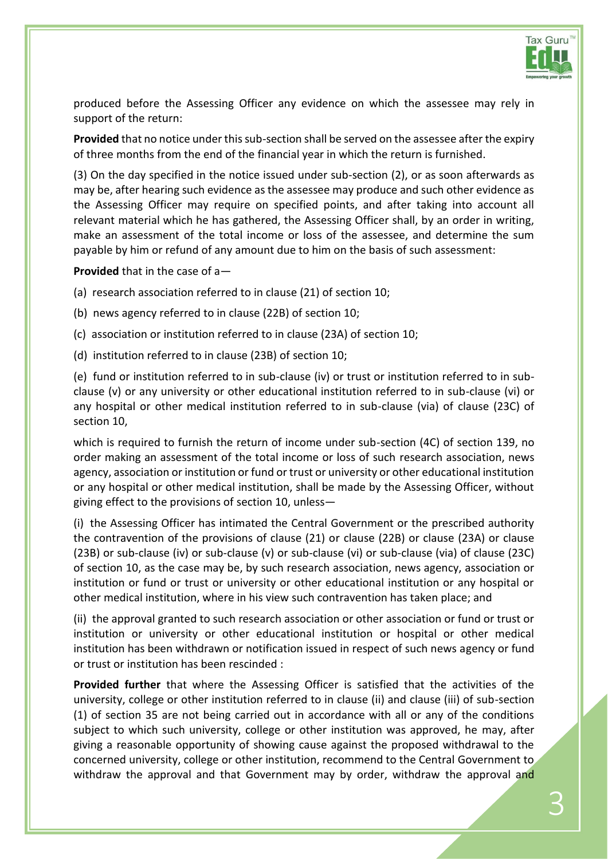

produced before the Assessing Officer any evidence on which the assessee may rely in support of the return:

**Provided** that no notice under this sub-section shall be served on the assessee after the expiry of three months from the end of the financial year in which the return is furnished.

(3) On the day specified in the notice issued under sub-section (2), or as soon afterwards as may be, after hearing such evidence as the assessee may produce and such other evidence as the Assessing Officer may require on specified points, and after taking into account all relevant material which he has gathered, the Assessing Officer shall, by an order in writing, make an assessment of the total income or loss of the assessee, and determine the sum payable by him or refund of any amount due to him on the basis of such assessment:

**Provided** that in the case of a—

(a) research association referred to in clause (21) of [section 10;](javascript:ShowMainContent()

- (b) news agency referred to in clause (22B) of [section 10;](javascript:ShowMainContent()
- (c) association or institution referred to in clause (23A) of [section 10;](javascript:ShowMainContent()
- (d) institution referred to in clause (23B) of [section 10;](javascript:ShowMainContent()

(e) fund or institution referred to in sub-clause (iv) or trust or institution referred to in subclause (v) or any university or other educational institution referred to in sub-clause (vi) or any hospital or other medical institution referred to in sub-clause (via) of clause (23C) of [section 10,](javascript:ShowMainContent()

which is required to furnish the return of income under sub-section (4C) of [section 139,](javascript:ShowMainContent() no order making an assessment of the total income or loss of such research association, news agency, association or institution or fund or trust or university or other educational institution or any hospital or other medical institution, shall be made by the Assessing Officer, without giving effect to the provisions of [section 10,](javascript:ShowMainContent() unless—

(i) the Assessing Officer has intimated the Central Government or the prescribed authority the contravention of the provisions of clause (21) or clause (22B) or clause (23A) or clause (23B) or sub-clause (iv) or sub-clause (v) or sub-clause (vi) or sub-clause (via) of clause (23C) of [section 10,](javascript:ShowMainContent() as the case may be, by such research association, news agency, association or institution or fund or trust or university or other educational institution or any hospital or other medical institution, where in his view such contravention has taken place; and

(ii) the approval granted to such research association or other association or fund or trust or institution or university or other educational institution or hospital or other medical institution has been withdrawn or notification issued in respect of such news agency or fund or trust or institution has been rescinded :

**Provided further** that where the Assessing Officer is satisfied that the activities of the university, college or other institution referred to in clause (ii) and clause (iii) of sub-section (1) of [section 35](javascript:ShowMainContent() are not being carried out in accordance with all or any of the conditions subject to which such university, college or other institution was approved, he may, after giving a reasonable opportunity of showing cause against the proposed withdrawal to the concerned university, college or other institution, recommend to the Central Government to withdraw the approval and that Government may by order, withdraw the approval and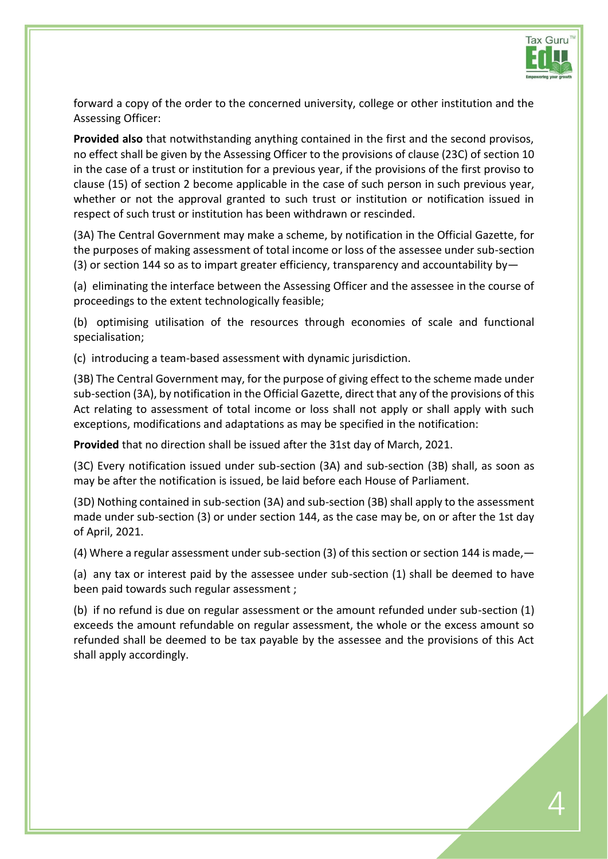

forward a copy of the order to the concerned university, college or other institution and the Assessing Officer:

**Provided also** that notwithstanding anything contained in the first and the second provisos, no effect shall be given by the Assessing Officer to the provisions of clause (23C) of [section 10](javascript:ShowMainContent() in the case of a trust or institution for a previous year, if the provisions of the first proviso to clause (15) of [section 2](javascript:ShowMainContent() become applicable in the case of such person in such previous year, whether or not the approval granted to such trust or institution or notification issued in respect of such trust or institution has been withdrawn or rescinded.

(3A) The Central Government may make a scheme, by notification in the Official Gazette, for the purposes of making assessment of total income or loss of the assessee under sub-section (3) or [section 144](javascript:ShowMainContent() so as to impart greater efficiency, transparency and accountability by—

(a) eliminating the interface between the Assessing Officer and the assessee in the course of proceedings to the extent technologically feasible;

(b) optimising utilisation of the resources through economies of scale and functional specialisation;

(c) introducing a team-based assessment with dynamic jurisdiction.

(3B) The Central Government may, for the purpose of giving effect to the scheme made under sub-section (3A), by notification in the Official Gazette, direct that any of the provisions of this Act relating to assessment of total income or loss shall not apply or shall apply with such exceptions, modifications and adaptations as may be specified in the notification:

**Provided** that no direction shall be issued after the 31st day of March, 2021.

(3C) Every notification issued under sub-section (3A) and sub-section (3B) shall, as soon as may be after the notification is issued, be laid before each House of Parliament.

(3D) Nothing contained in sub-section (3A) and sub-section (3B) shall apply to the assessment made under sub-section (3) or under [section 144,](javascript:ShowMainContent() as the case may be, on or after the 1st day of April, 2021.

(4) Where a regular assessment under sub-section (3) of this section o[r section 144](javascript:ShowMainContent() is made,—

(a) any tax or interest paid by the assessee under sub-section (1) shall be deemed to have been paid towards such regular assessment ;

(b) if no refund is due on regular assessment or the amount refunded under sub-section (1) exceeds the amount refundable on regular assessment, the whole or the excess amount so refunded shall be deemed to be tax payable by the assessee and the provisions of this Act shall apply accordingly.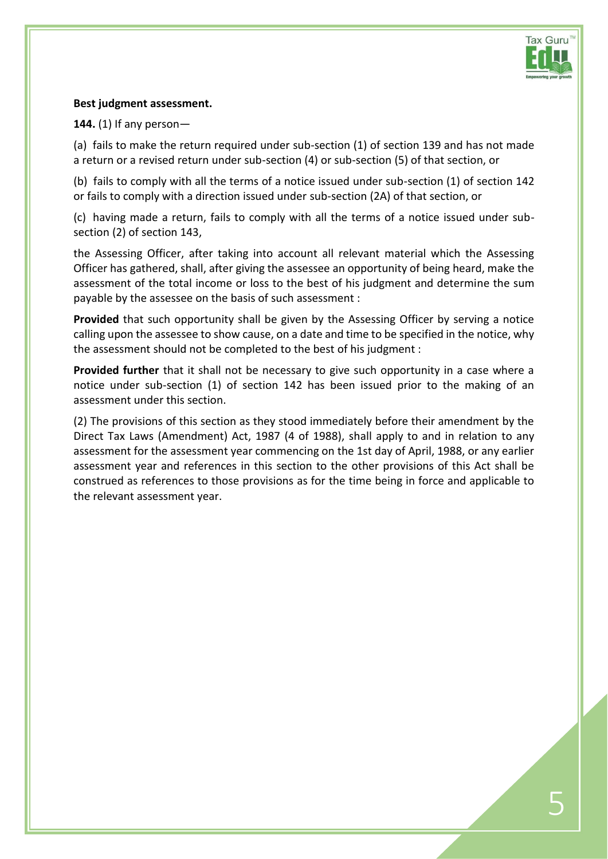

### **Best judgment assessment.**

**144.** (1) If any person—

(a) fails to make the return required under sub-section (1) of [section 139](javascript:ShowMainContent() and has not made a return or a revised return under sub-section (4) or sub-section (5) of that section, or

(b) fails to comply with all the terms of a notice issued under sub-section (1) of [section 142](javascript:ShowMainContent() or fails to comply with a direction issued under sub-section (2A) of that section, or

(c) having made a return, fails to comply with all the terms of a notice issued under subsection (2) of [section 143,](javascript:ShowMainContent()

the Assessing Officer, after taking into account all relevant material which the Assessing Officer has gathered, shall, after giving the assessee an opportunity of being heard, make the assessment of the total income or loss to the best of his judgment and determine the sum payable by the assessee on the basis of such assessment :

**Provided** that such opportunity shall be given by the Assessing Officer by serving a notice calling upon the assessee to show cause, on a date and time to be specified in the notice, why the assessment should not be completed to the best of his judgment :

**Provided further** that it shall not be necessary to give such opportunity in a case where a notice under sub-section (1) of [section 142](javascript:ShowMainContent() has been issued prior to the making of an assessment under this section.

(2) The provisions of this section as they stood immediately before their amendment by the Direct Tax Laws (Amendment) Act, 1987 (4 of 1988), shall apply to and in relation to any assessment for the assessment year commencing on the 1st day of April, 1988, or any earlier assessment year and references in this section to the other provisions of this Act shall be construed as references to those provisions as for the time being in force and applicable to the relevant assessment year.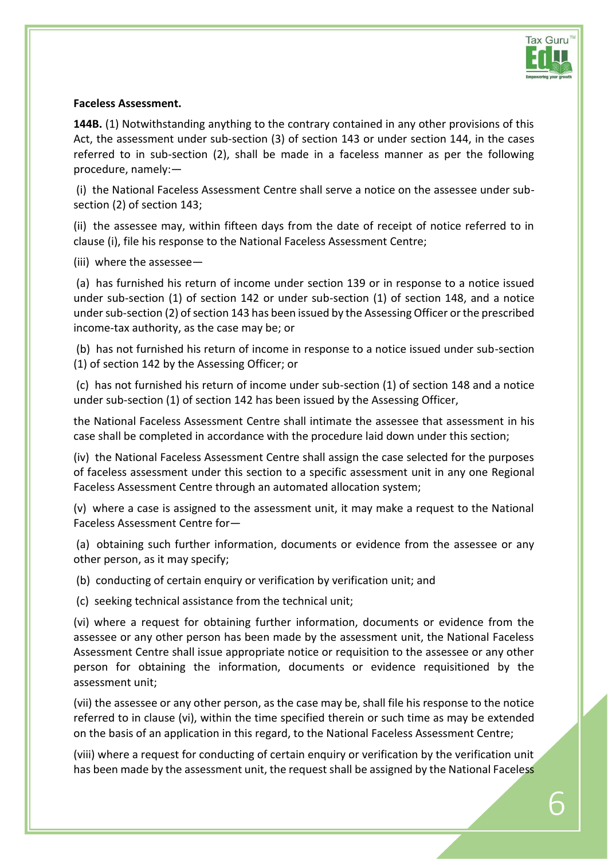

### **Faceless Assessment.**

**144B.** (1) Notwithstanding anything to the contrary contained in any other provisions of this Act, the assessment under sub-section (3) of [section 143](javascript:ShowMainContent() or under [section 144,](javascript:ShowMainContent() in the cases referred to in sub-section (2), shall be made in a faceless manner as per the following procedure, namely:—

(i) the National Faceless Assessment Centre shall serve a notice on the assessee under subsection (2) of [section 143;](javascript:ShowMainContent()

(ii) the assessee may, within fifteen days from the date of receipt of notice referred to in clause (i), file his response to the National Faceless Assessment Centre;

(iii) where the assessee—

(a) has furnished his return of income under [section 139](javascript:ShowMainContent() or in response to a notice issued under sub-section (1) of [section 142](javascript:ShowMainContent() or under sub-section (1) of [section 148,](javascript:ShowMainContent() and a notice under sub-section (2) of [section 143](javascript:ShowMainContent() has been issued by the Assessing Officer or the prescribed income-tax authority, as the case may be; or

(b) has not furnished his return of income in response to a notice issued under sub-section (1) of [section 142](javascript:ShowMainContent() by the Assessing Officer; or

(c) has not furnished his return of income under sub-section (1) of [section 148](javascript:ShowMainContent() and a notice under sub-section (1) of [section 142](javascript:ShowMainContent() has been issued by the Assessing Officer,

the National Faceless Assessment Centre shall intimate the assessee that assessment in his case shall be completed in accordance with the procedure laid down under this section;

(iv) the National Faceless Assessment Centre shall assign the case selected for the purposes of faceless assessment under this section to a specific assessment unit in any one Regional Faceless Assessment Centre through an automated allocation system;

(v) where a case is assigned to the assessment unit, it may make a request to the National Faceless Assessment Centre for—

(a) obtaining such further information, documents or evidence from the assessee or any other person, as it may specify;

(b) conducting of certain enquiry or verification by verification unit; and

(c) seeking technical assistance from the technical unit;

(vi) where a request for obtaining further information, documents or evidence from the assessee or any other person has been made by the assessment unit, the National Faceless Assessment Centre shall issue appropriate notice or requisition to the assessee or any other person for obtaining the information, documents or evidence requisitioned by the assessment unit;

(vii) the assessee or any other person, as the case may be, shall file his response to the notice referred to in clause (vi), within the time specified therein or such time as may be extended on the basis of an application in this regard, to the National Faceless Assessment Centre;

(viii) where a request for conducting of certain enquiry or verification by the verification unit has been made by the assessment unit, the request shall be assigned by the National Faceless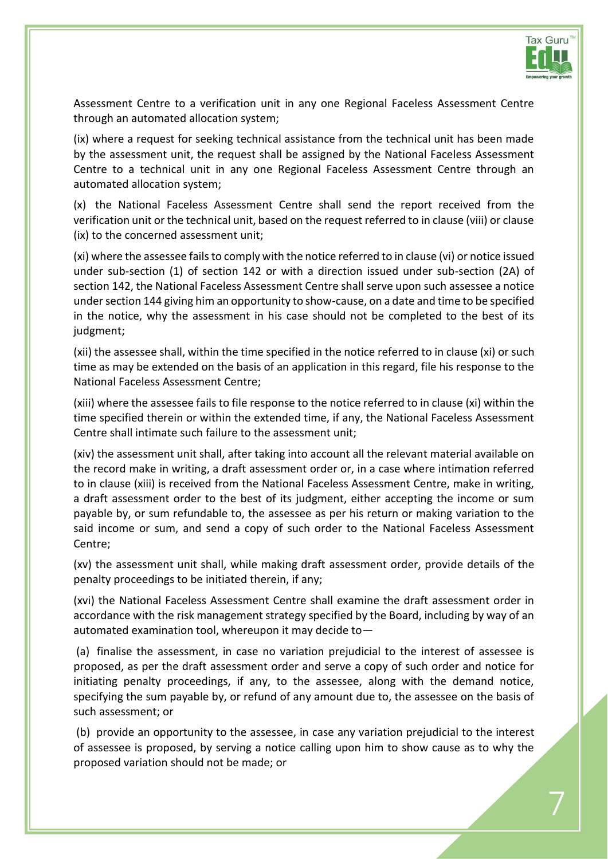

Assessment Centre to a verification unit in any one Regional Faceless Assessment Centre through an automated allocation system;

(ix) where a request for seeking technical assistance from the technical unit has been made by the assessment unit, the request shall be assigned by the National Faceless Assessment Centre to a technical unit in any one Regional Faceless Assessment Centre through an automated allocation system;

(x) the National Faceless Assessment Centre shall send the report received from the verification unit or the technical unit, based on the request referred to in clause (viii) or clause (ix) to the concerned assessment unit;

(xi) where the assessee fails to comply with the notice referred to in clause (vi) or notice issued under sub-section (1) of [section 142](javascript:ShowMainContent() or with a direction issued under sub-section (2A) of [section 142,](javascript:ShowMainContent() the National Faceless Assessment Centre shall serve upon such assessee a notice unde[r section 144](javascript:ShowMainContent() giving him an opportunity to show-cause, on a date and time to be specified in the notice, why the assessment in his case should not be completed to the best of its judgment;

(xii) the assessee shall, within the time specified in the notice referred to in clause (xi) or such time as may be extended on the basis of an application in this regard, file his response to the National Faceless Assessment Centre;

(xiii) where the assessee fails to file response to the notice referred to in clause (xi) within the time specified therein or within the extended time, if any, the National Faceless Assessment Centre shall intimate such failure to the assessment unit;

(xiv) the assessment unit shall, after taking into account all the relevant material available on the record make in writing, a draft assessment order or, in a case where intimation referred to in clause (xiii) is received from the National Faceless Assessment Centre, make in writing, a draft assessment order to the best of its judgment, either accepting the income or sum payable by, or sum refundable to, the assessee as per his return or making variation to the said income or sum, and send a copy of such order to the National Faceless Assessment Centre;

(xv) the assessment unit shall, while making draft assessment order, provide details of the penalty proceedings to be initiated therein, if any;

(xvi) the National Faceless Assessment Centre shall examine the draft assessment order in accordance with the risk management strategy specified by the Board, including by way of an automated examination tool, whereupon it may decide to—

(a) finalise the assessment, in case no variation prejudicial to the interest of assessee is proposed, as per the draft assessment order and serve a copy of such order and notice for initiating penalty proceedings, if any, to the assessee, along with the demand notice, specifying the sum payable by, or refund of any amount due to, the assessee on the basis of such assessment; or

(b) provide an opportunity to the assessee, in case any variation prejudicial to the interest of assessee is proposed, by serving a notice calling upon him to show cause as to why the proposed variation should not be made; or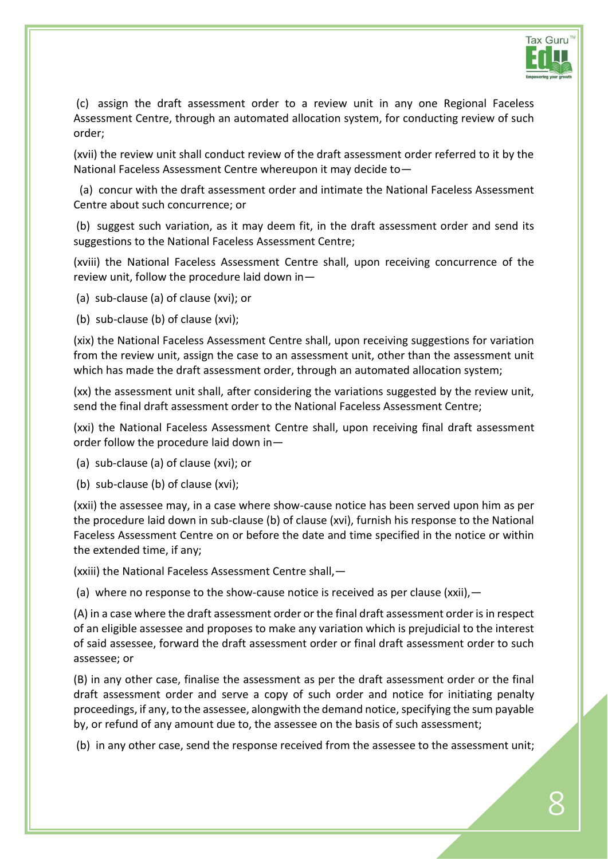

(c) assign the draft assessment order to a review unit in any one Regional Faceless Assessment Centre, through an automated allocation system, for conducting review of such order;

(xvii) the review unit shall conduct review of the draft assessment order referred to it by the National Faceless Assessment Centre whereupon it may decide to—

(a) concur with the draft assessment order and intimate the National Faceless Assessment Centre about such concurrence; or

(b) suggest such variation, as it may deem fit, in the draft assessment order and send its suggestions to the National Faceless Assessment Centre;

(xviii) the National Faceless Assessment Centre shall, upon receiving concurrence of the review unit, follow the procedure laid down in—

- (a) sub-clause (a) of clause (xvi); or
- (b) sub-clause (b) of clause (xvi);

(xix) the National Faceless Assessment Centre shall, upon receiving suggestions for variation from the review unit, assign the case to an assessment unit, other than the assessment unit which has made the draft assessment order, through an automated allocation system;

(xx) the assessment unit shall, after considering the variations suggested by the review unit, send the final draft assessment order to the National Faceless Assessment Centre;

(xxi) the National Faceless Assessment Centre shall, upon receiving final draft assessment order follow the procedure laid down in—

(a) sub-clause (a) of clause (xvi); or

(b) sub-clause (b) of clause (xvi);

(xxii) the assessee may, in a case where show-cause notice has been served upon him as per the procedure laid down in sub-clause (b) of clause (xvi), furnish his response to the National Faceless Assessment Centre on or before the date and time specified in the notice or within the extended time, if any;

(xxiii) the National Faceless Assessment Centre shall,—

(a) where no response to the show-cause notice is received as per clause (xxii),  $-$ 

(A) in a case where the draft assessment order or the final draft assessment order is in respect of an eligible assessee and proposes to make any variation which is prejudicial to the interest of said assessee, forward the draft assessment order or final draft assessment order to such assessee; or

(B) in any other case, finalise the assessment as per the draft assessment order or the final draft assessment order and serve a copy of such order and notice for initiating penalty proceedings, if any, to the assessee, alongwith the demand notice, specifying the sum payable by, or refund of any amount due to, the assessee on the basis of such assessment;

(b) in any other case, send the response received from the assessee to the assessment unit;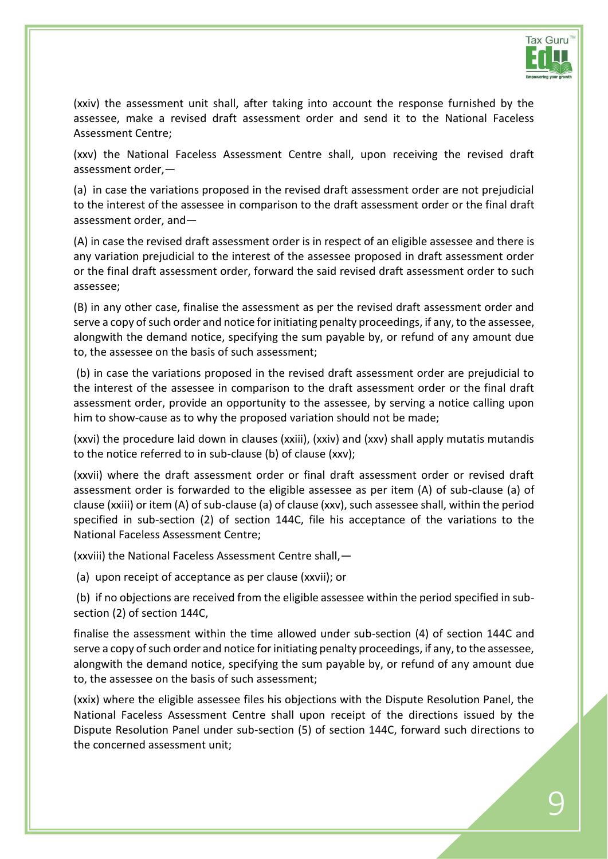

(xxiv) the assessment unit shall, after taking into account the response furnished by the assessee, make a revised draft assessment order and send it to the National Faceless Assessment Centre;

(xxv) the National Faceless Assessment Centre shall, upon receiving the revised draft assessment order,—

(a) in case the variations proposed in the revised draft assessment order are not prejudicial to the interest of the assessee in comparison to the draft assessment order or the final draft assessment order, and—

(A) in case the revised draft assessment order is in respect of an eligible assessee and there is any variation prejudicial to the interest of the assessee proposed in draft assessment order or the final draft assessment order, forward the said revised draft assessment order to such assessee;

(B) in any other case, finalise the assessment as per the revised draft assessment order and serve a copy of such order and notice for initiating penalty proceedings, if any, to the assessee, alongwith the demand notice, specifying the sum payable by, or refund of any amount due to, the assessee on the basis of such assessment;

(b) in case the variations proposed in the revised draft assessment order are prejudicial to the interest of the assessee in comparison to the draft assessment order or the final draft assessment order, provide an opportunity to the assessee, by serving a notice calling upon him to show-cause as to why the proposed variation should not be made;

(xxvi) the procedure laid down in clauses (xxiii), (xxiv) and (xxv) shall apply mutatis mutandis to the notice referred to in sub-clause (b) of clause (xxv);

(xxvii) where the draft assessment order or final draft assessment order or revised draft assessment order is forwarded to the eligible assessee as per item (A) of sub-clause (a) of clause (xxiii) or item (A) of sub-clause (a) of clause (xxv), such assessee shall, within the period specified in sub-section (2) of [section 144C,](javascript:ShowMainContent() file his acceptance of the variations to the National Faceless Assessment Centre;

(xxviii) the National Faceless Assessment Centre shall,—

(a) upon receipt of acceptance as per clause (xxvii); or

(b) if no objections are received from the eligible assessee within the period specified in subsection (2) of [section 144C,](javascript:ShowMainContent()

finalise the assessment within the time allowed under sub-section (4) of [section 144C](javascript:ShowMainContent() and serve a copy of such order and notice for initiating penalty proceedings, if any, to the assessee, alongwith the demand notice, specifying the sum payable by, or refund of any amount due to, the assessee on the basis of such assessment;

(xxix) where the eligible assessee files his objections with the Dispute Resolution Panel, the National Faceless Assessment Centre shall upon receipt of the directions issued by the Dispute Resolution Panel under sub-section (5) of [section 144C,](javascript:ShowMainContent() forward such directions to the concerned assessment unit;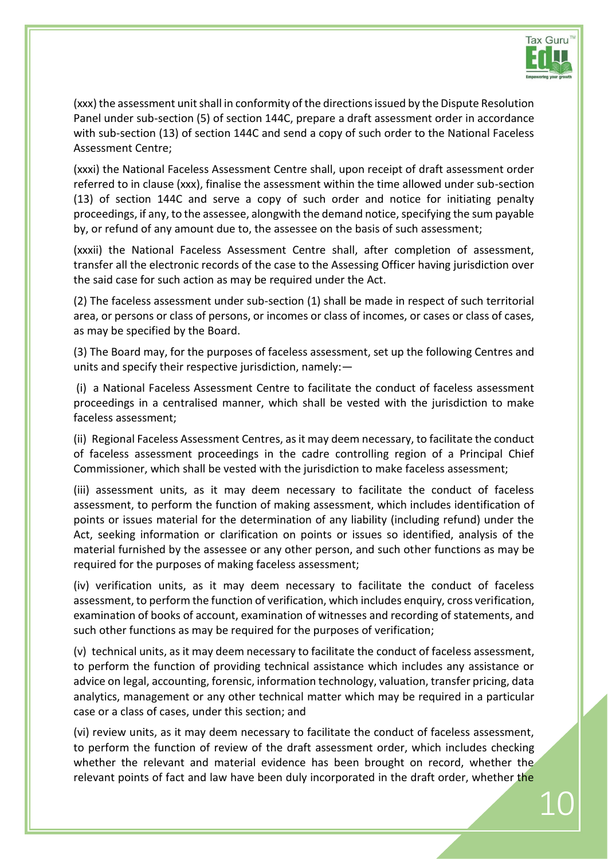

10

(xxx) the assessment unit shall in conformity of the directions issued by the Dispute Resolution Panel under sub-section (5) of [section 144C,](javascript:ShowMainContent() prepare a draft assessment order in accordance with sub-section (13) of [section 144C](javascript:ShowMainContent() and send a copy of such order to the National Faceless Assessment Centre;

(xxxi) the National Faceless Assessment Centre shall, upon receipt of draft assessment order referred to in clause (xxx), finalise the assessment within the time allowed under sub-section (13) of [section 144C](javascript:ShowMainContent() and serve a copy of such order and notice for initiating penalty proceedings, if any, to the assessee, alongwith the demand notice, specifying the sum payable by, or refund of any amount due to, the assessee on the basis of such assessment;

(xxxii) the National Faceless Assessment Centre shall, after completion of assessment, transfer all the electronic records of the case to the Assessing Officer having jurisdiction over the said case for such action as may be required under the Act.

(2) The faceless assessment under sub-section (1) shall be made in respect of such territorial area, or persons or class of persons, or incomes or class of incomes, or cases or class of cases, as may be specified by the Board.

(3) The Board may, for the purposes of faceless assessment, set up the following Centres and units and specify their respective jurisdiction, namely:—

(i) a National Faceless Assessment Centre to facilitate the conduct of faceless assessment proceedings in a centralised manner, which shall be vested with the jurisdiction to make faceless assessment;

(ii) Regional Faceless Assessment Centres, as it may deem necessary, to facilitate the conduct of faceless assessment proceedings in the cadre controlling region of a Principal Chief Commissioner, which shall be vested with the jurisdiction to make faceless assessment;

(iii) assessment units, as it may deem necessary to facilitate the conduct of faceless assessment, to perform the function of making assessment, which includes identification of points or issues material for the determination of any liability (including refund) under the Act, seeking information or clarification on points or issues so identified, analysis of the material furnished by the assessee or any other person, and such other functions as may be required for the purposes of making faceless assessment;

(iv) verification units, as it may deem necessary to facilitate the conduct of faceless assessment, to perform the function of verification, which includes enquiry, cross verification, examination of books of account, examination of witnesses and recording of statements, and such other functions as may be required for the purposes of verification;

(v) technical units, as it may deem necessary to facilitate the conduct of faceless assessment, to perform the function of providing technical assistance which includes any assistance or advice on legal, accounting, forensic, information technology, valuation, transfer pricing, data analytics, management or any other technical matter which may be required in a particular case or a class of cases, under this section; and

(vi) review units, as it may deem necessary to facilitate the conduct of faceless assessment, to perform the function of review of the draft assessment order, which includes checking whether the relevant and material evidence has been brought on record, whether the relevant points of fact and law have been duly incorporated in the draft order, whether the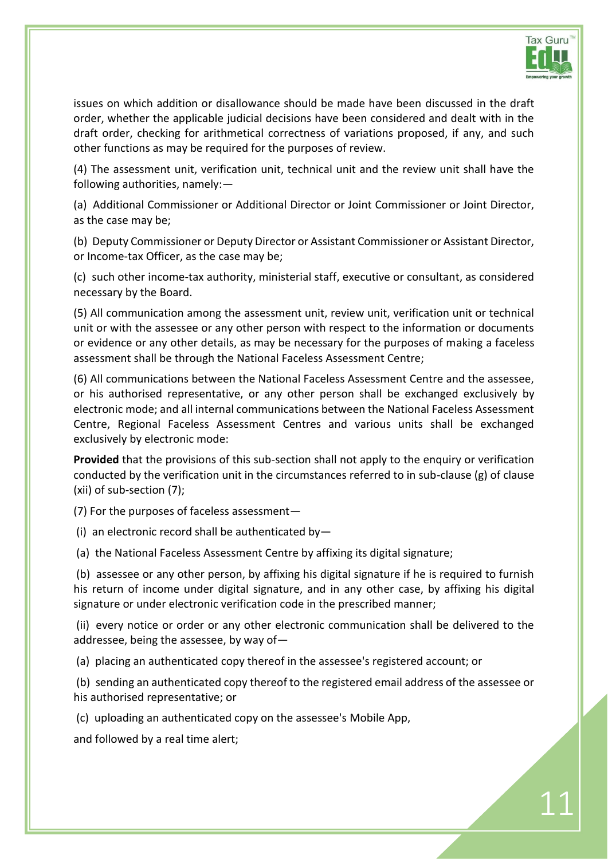

issues on which addition or disallowance should be made have been discussed in the draft order, whether the applicable judicial decisions have been considered and dealt with in the draft order, checking for arithmetical correctness of variations proposed, if any, and such other functions as may be required for the purposes of review.

(4) The assessment unit, verification unit, technical unit and the review unit shall have the following authorities, namely:—

(a) Additional Commissioner or Additional Director or Joint Commissioner or Joint Director, as the case may be;

(b) Deputy Commissioner or Deputy Director or Assistant Commissioner or Assistant Director, or Income-tax Officer, as the case may be;

(c) such other income-tax authority, ministerial staff, executive or consultant, as considered necessary by the Board.

(5) All communication among the assessment unit, review unit, verification unit or technical unit or with the assessee or any other person with respect to the information or documents or evidence or any other details, as may be necessary for the purposes of making a faceless assessment shall be through the National Faceless Assessment Centre;

(6) All communications between the National Faceless Assessment Centre and the assessee, or his authorised representative, or any other person shall be exchanged exclusively by electronic mode; and all internal communications between the National Faceless Assessment Centre, Regional Faceless Assessment Centres and various units shall be exchanged exclusively by electronic mode:

**Provided** that the provisions of this sub-section shall not apply to the enquiry or verification conducted by the verification unit in the circumstances referred to in sub-clause (g) of clause (xii) of sub-section (7);

(7) For the purposes of faceless assessment—

(i) an electronic record shall be authenticated by-

(a) the National Faceless Assessment Centre by affixing its digital signature;

(b) assessee or any other person, by affixing his digital signature if he is required to furnish his return of income under digital signature, and in any other case, by affixing his digital signature or under electronic verification code in the prescribed manner;

(ii) every notice or order or any other electronic communication shall be delivered to the addressee, being the assessee, by way of—

(a) placing an authenticated copy thereof in the assessee's registered account; or

(b) sending an authenticated copy thereof to the registered email address of the assessee or his authorised representative; or

(c) uploading an authenticated copy on the assessee's Mobile App,

and followed by a real time alert;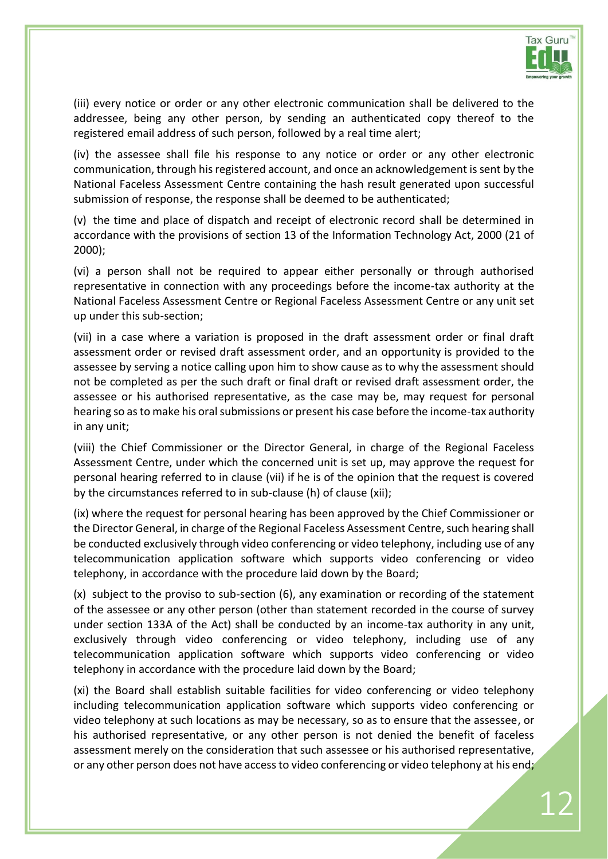

(iii) every notice or order or any other electronic communication shall be delivered to the addressee, being any other person, by sending an authenticated copy thereof to the registered email address of such person, followed by a real time alert;

(iv) the assessee shall file his response to any notice or order or any other electronic communication, through his registered account, and once an acknowledgement is sent by the National Faceless Assessment Centre containing the hash result generated upon successful submission of response, the response shall be deemed to be authenticated;

(v) the time and place of dispatch and receipt of electronic record shall be determined in accordance with the provisions of section 13 of the Information Technology Act, 2000 (21 of 2000);

(vi) a person shall not be required to appear either personally or through authorised representative in connection with any proceedings before the income-tax authority at the National Faceless Assessment Centre or Regional Faceless Assessment Centre or any unit set up under this sub-section;

(vii) in a case where a variation is proposed in the draft assessment order or final draft assessment order or revised draft assessment order, and an opportunity is provided to the assessee by serving a notice calling upon him to show cause as to why the assessment should not be completed as per the such draft or final draft or revised draft assessment order, the assessee or his authorised representative, as the case may be, may request for personal hearing so as to make his oral submissions or present his case before the income-tax authority in any unit;

(viii) the Chief Commissioner or the Director General, in charge of the Regional Faceless Assessment Centre, under which the concerned unit is set up, may approve the request for personal hearing referred to in clause (vii) if he is of the opinion that the request is covered by the circumstances referred to in sub-clause (h) of clause (xii);

(ix) where the request for personal hearing has been approved by the Chief Commissioner or the Director General, in charge of the Regional Faceless Assessment Centre, such hearing shall be conducted exclusively through video conferencing or video telephony, including use of any telecommunication application software which supports video conferencing or video telephony, in accordance with the procedure laid down by the Board;

(x) subject to the proviso to sub-section (6), any examination or recording of the statement of the assessee or any other person (other than statement recorded in the course of survey under [section 133A](javascript:ShowMainContent() of the Act) shall be conducted by an income-tax authority in any unit, exclusively through video conferencing or video telephony, including use of any telecommunication application software which supports video conferencing or video telephony in accordance with the procedure laid down by the Board;

(xi) the Board shall establish suitable facilities for video conferencing or video telephony including telecommunication application software which supports video conferencing or video telephony at such locations as may be necessary, so as to ensure that the assessee, or his authorised representative, or any other person is not denied the benefit of faceless assessment merely on the consideration that such assessee or his authorised representative, or any other person does not have access to video conferencing or video telephony at his end;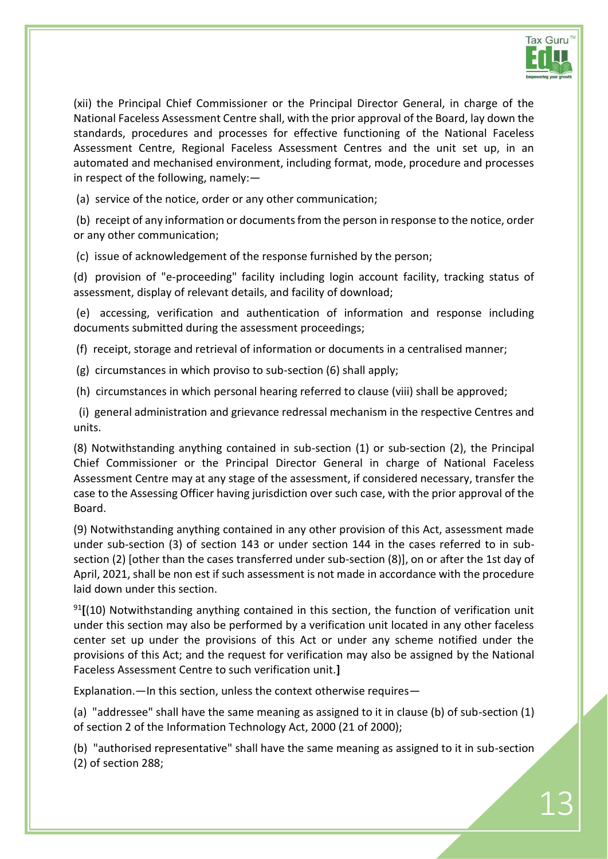

(xii) the Principal Chief Commissioner or the Principal Director General, in charge of the National Faceless Assessment Centre shall, with the prior approval of the Board, lay down the standards, procedures and processes for effective functioning of the National Faceless Assessment Centre, Regional Faceless Assessment Centres and the unit set up, in an automated and mechanised environment, including format, mode, procedure and processes in respect of the following, namely:—

(a) service of the notice, order or any other communication;

(b) receipt of any information or documents from the person in response to the notice, order or any other communication;

(c) issue of acknowledgement of the response furnished by the person;

(d) provision of "e-proceeding" facility including login account facility, tracking status of assessment, display of relevant details, and facility of download;

(e) accessing, verification and authentication of information and response including documents submitted during the assessment proceedings;

(f) receipt, storage and retrieval of information or documents in a centralised manner;

(g) circumstances in which proviso to sub-section (6) shall apply;

(h) circumstances in which personal hearing referred to clause (viii) shall be approved;

(i) general administration and grievance redressal mechanism in the respective Centres and units.

(8) Notwithstanding anything contained in sub-section (1) or sub-section (2), the Principal Chief Commissioner or the Principal Director General in charge of National Faceless Assessment Centre may at any stage of the assessment, if considered necessary, transfer the case to the Assessing Officer having jurisdiction over such case, with the prior approval of the Board.

(9) Notwithstanding anything contained in any other provision of this Act, assessment made under sub-section (3) of [section 143](javascript:ShowMainContent() or under [section 144](javascript:ShowMainContent() in the cases referred to in subsection (2) [other than the cases transferred under sub-section (8)], on or after the 1st day of April, 2021, shall be non est if such assessment is not made in accordance with the procedure laid down under this section.

[91](javascript:ShowFootnote()**[**(10) Notwithstanding anything contained in this section, the function of verification unit under this section may also be performed by a verification unit located in any other faceless center set up under the provisions of this Act or under any scheme notified under the provisions of this Act; and the request for verification may also be assigned by the National Faceless Assessment Centre to such verification unit.**]**

Explanation.—In this section, unless the context otherwise requires—

(a) "addressee" shall have the same meaning as assigned to it in clause (b) of sub-section (1) of section 2 of the Information Technology Act, 2000 (21 of 2000);

(b) "authorised representative" shall have the same meaning as assigned to it in sub-section (2) of [section 288;](javascript:ShowMainContent()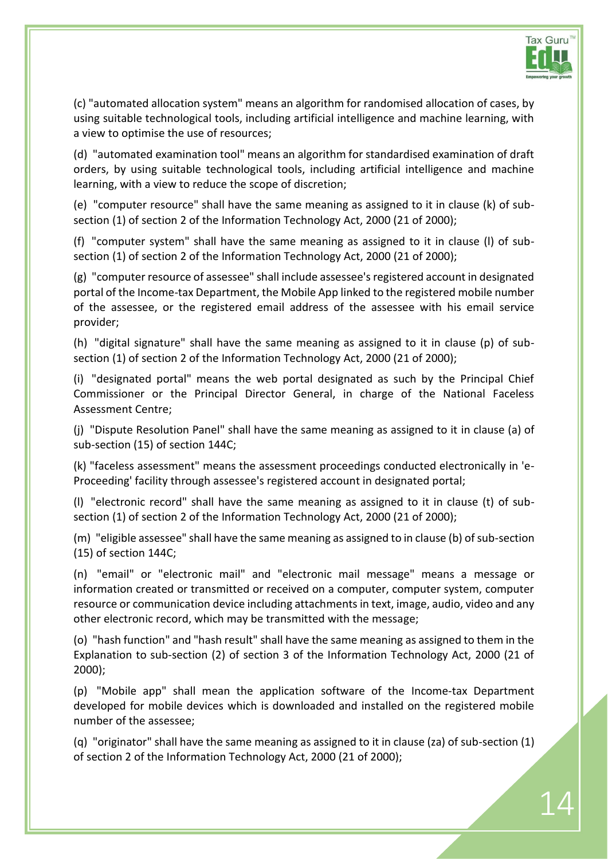

(c) "automated allocation system" means an algorithm for randomised allocation of cases, by using suitable technological tools, including artificial intelligence and machine learning, with a view to optimise the use of resources;

(d) "automated examination tool" means an algorithm for standardised examination of draft orders, by using suitable technological tools, including artificial intelligence and machine learning, with a view to reduce the scope of discretion;

(e) "computer resource" shall have the same meaning as assigned to it in clause (k) of subsection (1) of section 2 of the Information Technology Act, 2000 (21 of 2000);

(f) "computer system" shall have the same meaning as assigned to it in clause (l) of subsection (1) of section 2 of the Information Technology Act, 2000 (21 of 2000);

(g) "computer resource of assessee" shall include assessee's registered account in designated portal of the Income-tax Department, the Mobile App linked to the registered mobile number of the assessee, or the registered email address of the assessee with his email service provider;

(h) "digital signature" shall have the same meaning as assigned to it in clause (p) of subsection (1) of section 2 of the Information Technology Act, 2000 (21 of 2000);

(i) "designated portal" means the web portal designated as such by the Principal Chief Commissioner or the Principal Director General, in charge of the National Faceless Assessment Centre;

(j) "Dispute Resolution Panel" shall have the same meaning as assigned to it in clause (a) of sub-section (15) o[f section 144C;](javascript:ShowMainContent()

(k) "faceless assessment" means the assessment proceedings conducted electronically in 'e-Proceeding' facility through assessee's registered account in designated portal;

(l) "electronic record" shall have the same meaning as assigned to it in clause (t) of subsection (1) of section 2 of the Information Technology Act, 2000 (21 of 2000);

(m) "eligible assessee" shall have the same meaning as assigned to in clause (b) of sub-section (15) of [section 144C;](javascript:ShowMainContent()

(n) "email" or "electronic mail" and "electronic mail message" means a message or information created or transmitted or received on a computer, computer system, computer resource or communication device including attachments in text, image, audio, video and any other electronic record, which may be transmitted with the message;

(o) "hash function" and "hash result" shall have the same meaning as assigned to them in the Explanation to sub-section (2) of section 3 of the Information Technology Act, 2000 (21 of 2000);

(p) "Mobile app" shall mean the application software of the Income-tax Department developed for mobile devices which is downloaded and installed on the registered mobile number of the assessee;

(q) "originator" shall have the same meaning as assigned to it in clause (za) of sub-section (1) of section 2 of the Information Technology Act, 2000 (21 of 2000);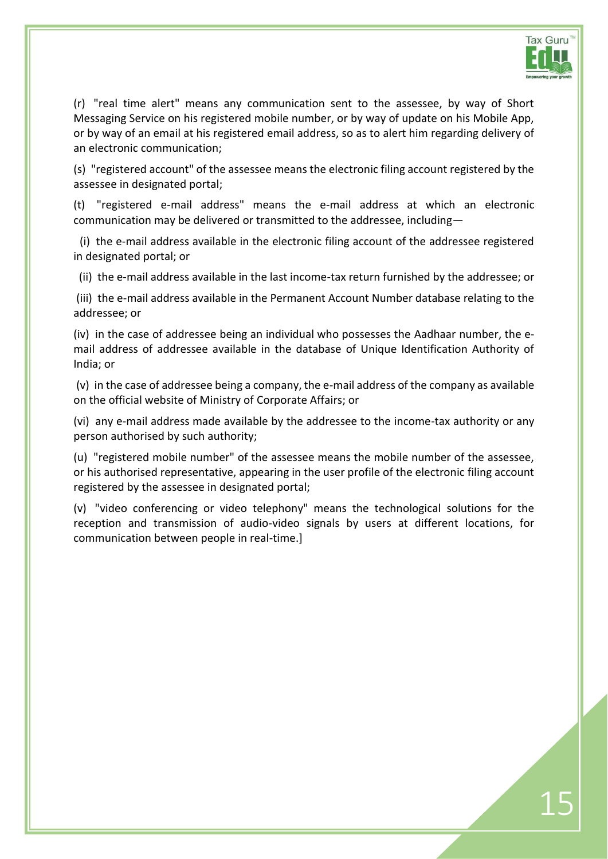

15

(r) "real time alert" means any communication sent to the assessee, by way of Short Messaging Service on his registered mobile number, or by way of update on his Mobile App, or by way of an email at his registered email address, so as to alert him regarding delivery of an electronic communication;

(s) "registered account" of the assessee means the electronic filing account registered by the assessee in designated portal;

(t) "registered e-mail address" means the e-mail address at which an electronic communication may be delivered or transmitted to the addressee, including—

(i) the e-mail address available in the electronic filing account of the addressee registered in designated portal; or

(ii) the e-mail address available in the last income-tax return furnished by the addressee; or

(iii) the e-mail address available in the Permanent Account Number database relating to the addressee; or

(iv) in the case of addressee being an individual who possesses the Aadhaar number, the email address of addressee available in the database of Unique Identification Authority of India; or

(v) in the case of addressee being a company, the e-mail address of the company as available on the official website of Ministry of Corporate Affairs; or

(vi) any e-mail address made available by the addressee to the income-tax authority or any person authorised by such authority;

(u) "registered mobile number" of the assessee means the mobile number of the assessee, or his authorised representative, appearing in the user profile of the electronic filing account registered by the assessee in designated portal;

(v) "video conferencing or video telephony" means the technological solutions for the reception and transmission of audio-video signals by users at different locations, for communication between people in real-time.]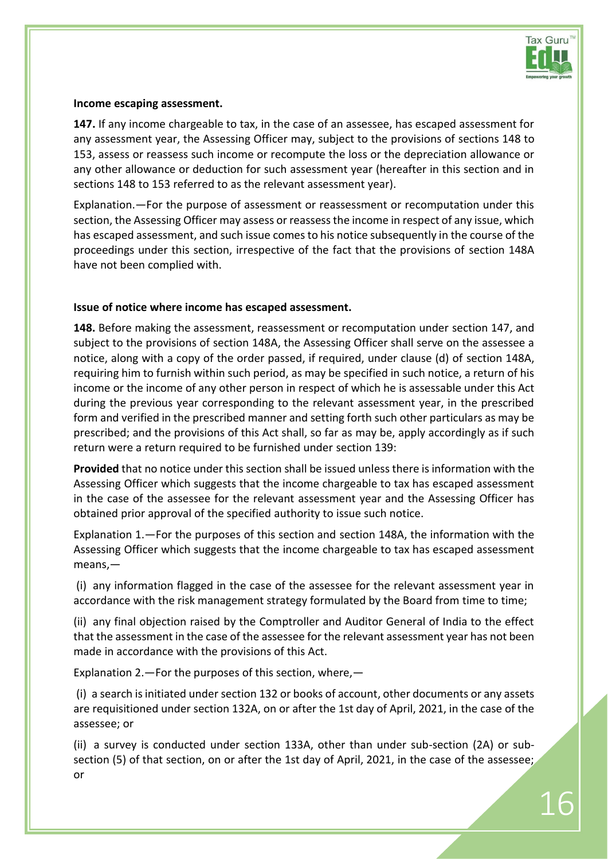

### **Income escaping assessment.**

**147.** If any income chargeable to tax, in the case of an assessee, has escaped assessment for any assessment year, the Assessing Officer may, subject to the provisions of [sections 148](javascript:ShowMainContent() to [153,](javascript:ShowMainContent() assess or reassess such income or recompute the loss or the depreciation allowance or any other allowance or deduction for such assessment year (hereafter in this section and i[n](javascript:ShowMainContent() [sections 148](javascript:ShowMainContent() t[o 153](javascript:ShowMainContent() referred to as the relevant assessment year).

Explanation.—For the purpose of assessment or reassessment or recomputation under this section, the Assessing Officer may assess or reassess the income in respect of any issue, which has escaped assessment, and such issue comes to his notice subsequently in the course of the proceedings under this section, irrespective of the fact that the provisions of [section 148A](javascript:ShowMainContent() have not been complied with.

### **Issue of notice where income has escaped assessment.**

**148.** Before making the assessment, reassessment or recomputation under [section 147,](javascript:ShowMainContent() and subject to the provisions of [section 148A,](javascript:ShowMainContent() the Assessing Officer shall serve on the assessee a notice, along with a copy of the order passed, if required, under clause (d) of [section 148A,](javascript:ShowMainContent() requiring him to furnish within such period, as may be specified in such notice, a return of his income or the income of any other person in respect of which he is assessable under this Act during the previous year corresponding to the relevant assessment year, in the prescribed form and verified in the prescribed manner and setting forth such other particulars as may be prescribed; and the provisions of this Act shall, so far as may be, apply accordingly as if such return were a return required to be furnished under [section 139:](javascript:ShowMainContent()

**Provided** that no notice under this section shall be issued unless there is information with the Assessing Officer which suggests that the income chargeable to tax has escaped assessment in the case of the assessee for the relevant assessment year and the Assessing Officer has obtained prior approval of the specified authority to issue such notice.

Explanation 1.—For the purposes of this section and [section 148A,](javascript:ShowMainContent() the information with the Assessing Officer which suggests that the income chargeable to tax has escaped assessment means,—

(i) any information flagged in the case of the assessee for the relevant assessment year in accordance with the risk management strategy formulated by the Board from time to time;

(ii) any final objection raised by the Comptroller and Auditor General of India to the effect that the assessment in the case of the assessee for the relevant assessment year has not been made in accordance with the provisions of this Act.

Explanation 2.—For the purposes of this section, where,—

(i) a search is initiated under [section 132](javascript:ShowMainContent() or books of account, other documents or any assets are requisitioned under [section 132A,](javascript:ShowMainContent() on or after the 1st day of April, 2021, in the case of the assessee; or

(ii) a survey is conducted under [section 133A,](javascript:ShowMainContent() other than under sub-section (2A) or subsection (5) of that section, on or after the 1st day of April, 2021, in the case of the assessee; or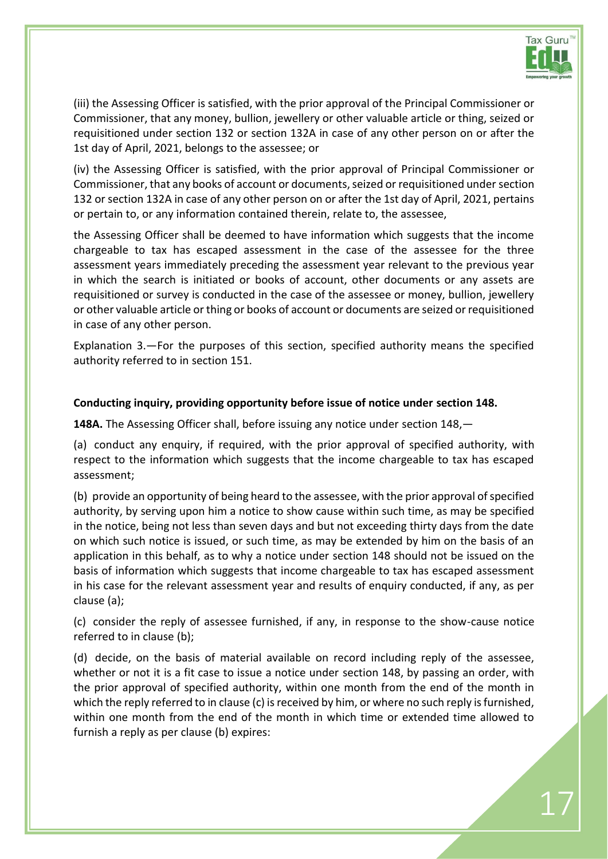

(iii) the Assessing Officer is satisfied, with the prior approval of the Principal Commissioner or Commissioner, that any money, bullion, jewellery or other valuable article or thing, seized or requisitioned under [section 132](javascript:ShowMainContent() or [section 132A](javascript:ShowMainContent() in case of any other person on or after the 1st day of April, 2021, belongs to the assessee; or

(iv) the Assessing Officer is satisfied, with the prior approval of Principal Commissioner or Commissioner, that any books of account or documents, seized or requisitioned under [section](javascript:ShowMainContent()  [132](javascript:ShowMainContent() o[r section 132A](javascript:ShowMainContent() in case of any other person on or after the 1st day of April, 2021, pertains or pertain to, or any information contained therein, relate to, the assessee,

the Assessing Officer shall be deemed to have information which suggests that the income chargeable to tax has escaped assessment in the case of the assessee for the three assessment years immediately preceding the assessment year relevant to the previous year in which the search is initiated or books of account, other documents or any assets are requisitioned or survey is conducted in the case of the assessee or money, bullion, jewellery or other valuable article or thing or books of account or documents are seized or requisitioned in case of any other person.

Explanation 3.—For the purposes of this section, specified authority means the specified authority referred to in [section 151.](javascript:ShowMainContent()

## **Conducting inquiry, providing opportunity before issue of notice under [section 148.](javascript:ShowMainContent()**

**148A.** The Assessing Officer shall, before issuing any notice under [section 148,](javascript:ShowMainContent()—

(a) conduct any enquiry, if required, with the prior approval of specified authority, with respect to the information which suggests that the income chargeable to tax has escaped assessment;

(b) provide an opportunity of being heard to the assessee, with the prior approval of specified authority, by serving upon him a notice to show cause within such time, as may be specified in the notice, being not less than seven days and but not exceeding thirty days from the date on which such notice is issued, or such time, as may be extended by him on the basis of an application in this behalf, as to why a notice under [section 148](javascript:ShowMainContent() should not be issued on the basis of information which suggests that income chargeable to tax has escaped assessment in his case for the relevant assessment year and results of enquiry conducted, if any, as per clause (a);

(c) consider the reply of assessee furnished, if any, in response to the show-cause notice referred to in clause (b);

(d) decide, on the basis of material available on record including reply of the assessee, whether or not it is a fit case to issue a notice under [section 148,](javascript:ShowMainContent() by passing an order, with the prior approval of specified authority, within one month from the end of the month in which the reply referred to in clause (c) is received by him, or where no such reply is furnished, within one month from the end of the month in which time or extended time allowed to furnish a reply as per clause (b) expires: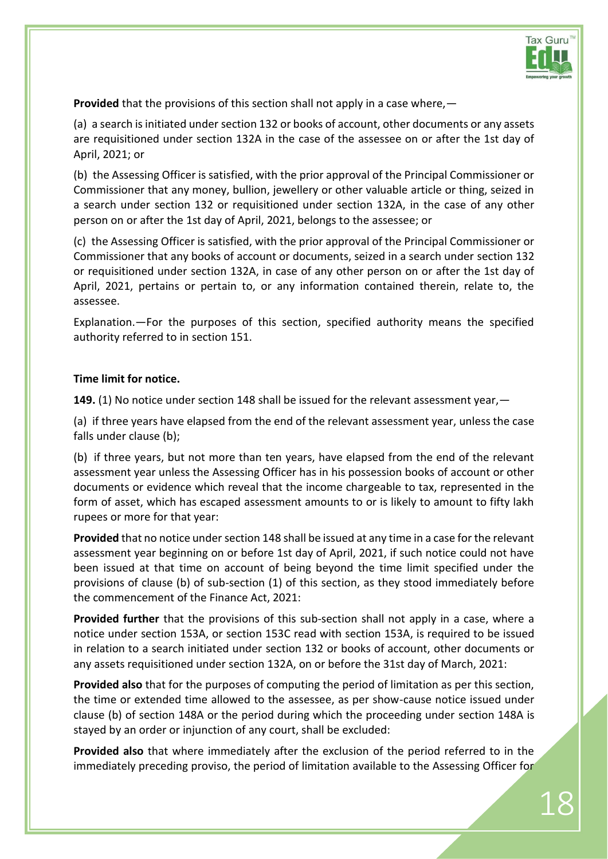

**Provided** that the provisions of this section shall not apply in a case where,—

(a) a search is initiated unde[r section 132](javascript:ShowMainContent() or books of account, other documents or any assets are requisitioned under [section 132A](javascript:ShowMainContent() in the case of the assessee on or after the 1st day of April, 2021; or

(b) the Assessing Officer is satisfied, with the prior approval of the Principal Commissioner or Commissioner that any money, bullion, jewellery or other valuable article or thing, seized in a search under [section 132](javascript:ShowMainContent() or requisitioned under [section 132A,](javascript:ShowMainContent() in the case of any other person on or after the 1st day of April, 2021, belongs to the assessee; or

(c) the Assessing Officer is satisfied, with the prior approval of the Principal Commissioner or Commissioner that any books of account or documents, seized in a search under [section 132](javascript:ShowMainContent() or requisitioned under [section 132A,](javascript:ShowMainContent() in case of any other person on or after the 1st day of April, 2021, pertains or pertain to, or any information contained therein, relate to, the assessee.

Explanation.—For the purposes of this section, specified authority means the specified authority referred to in [section 151.](javascript:ShowMainContent()

### **Time limit for notice.**

**149.** (1) No notice under [section 148](javascript:ShowMainContent() shall be issued for the relevant assessment year,—

(a) if three years have elapsed from the end of the relevant assessment year, unless the case falls under clause (b);

(b) if three years, but not more than ten years, have elapsed from the end of the relevant assessment year unless the Assessing Officer has in his possession books of account or other documents or evidence which reveal that the income chargeable to tax, represented in the form of asset, which has escaped assessment amounts to or is likely to amount to fifty lakh rupees or more for that year:

**Provided** that no notice unde[r section 148](javascript:ShowMainContent() shall be issued at any time in a case for the relevant assessment year beginning on or before 1st day of April, 2021, if such notice could not have been issued at that time on account of being beyond the time limit specified under the provisions of clause (b) of sub-section (1) of this section, as they stood immediately before the commencement of the Finance Act, 2021:

**Provided further** that the provisions of this sub-section shall not apply in a case, where a notice under [section 153A,](javascript:ShowMainContent() or [section 153C](javascript:ShowMainContent() read with [section 153A,](javascript:ShowMainContent() is required to be issued in relation to a search initiated under [section 132](javascript:ShowMainContent() or books of account, other documents or any assets requisitioned under [section 132A,](javascript:ShowMainContent() on or before the 31st day of March, 2021:

**Provided also** that for the purposes of computing the period of limitation as per this section, the time or extended time allowed to the assessee, as per show-cause notice issued under clause (b) of [section 148A](javascript:ShowMainContent() or the period during which the proceeding under [section 148A](javascript:ShowMainContent() is stayed by an order or injunction of any court, shall be excluded:

**Provided also** that where immediately after the exclusion of the period referred to in the immediately preceding proviso, the period of limitation available to the Assessing Officer for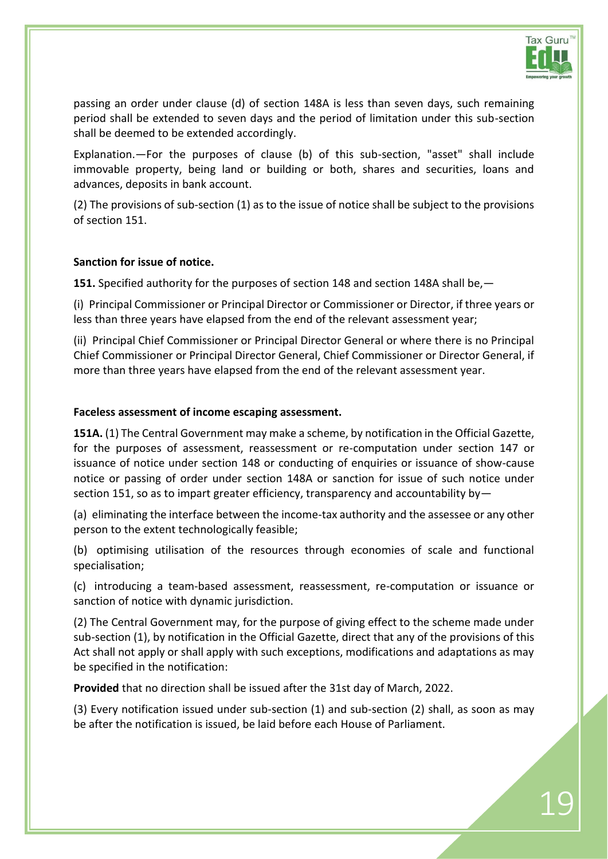

passing an order under clause (d) of [section 148A](javascript:ShowMainContent() is less than seven days, such remaining period shall be extended to seven days and the period of limitation under this sub-section shall be deemed to be extended accordingly.

Explanation.—For the purposes of clause (b) of this sub-section, "asset" shall include immovable property, being land or building or both, shares and securities, loans and advances, deposits in bank account.

(2) The provisions of sub-section (1) as to the issue of notice shall be subject to the provisions o[f section 151.](javascript:ShowMainContent()

### **Sanction for issue of notice.**

**151.** Specified authority for the purposes of [section 148](javascript:ShowMainContent() and [section 148A](javascript:ShowMainContent() shall be,—

(i) Principal Commissioner or Principal Director or Commissioner or Director, if three years or less than three years have elapsed from the end of the relevant assessment year;

(ii) Principal Chief Commissioner or Principal Director General or where there is no Principal Chief Commissioner or Principal Director General, Chief Commissioner or Director General, if more than three years have elapsed from the end of the relevant assessment year.

### **Faceless assessment of income escaping assessment.**

**151A.** (1) The Central Government may make a scheme, by notification in the Official Gazette, for the purposes of assessment, reassessment or re-computation under [section 147](javascript:ShowMainContent() or issuance of notice under [section 148](javascript:ShowMainContent() or conducting of enquiries or issuance of show-cause notice or passing of order under [section 148A](javascript:ShowMainContent() or sanction for issue of such notice under [section 151,](javascript:ShowMainContent() so as to impart greater efficiency, transparency and accountability by—

(a) eliminating the interface between the income-tax authority and the assessee or any other person to the extent technologically feasible;

(b) optimising utilisation of the resources through economies of scale and functional specialisation;

(c) introducing a team-based assessment, reassessment, re-computation or issuance or sanction of notice with dynamic jurisdiction.

(2) The Central Government may, for the purpose of giving effect to the scheme made under sub-section (1), by notification in the Official Gazette, direct that any of the provisions of this Act shall not apply or shall apply with such exceptions, modifications and adaptations as may be specified in the notification:

**Provided** that no direction shall be issued after the 31st day of March, 2022.

(3) Every notification issued under sub-section (1) and sub-section (2) shall, as soon as may be after the notification is issued, be laid before each House of Parliament.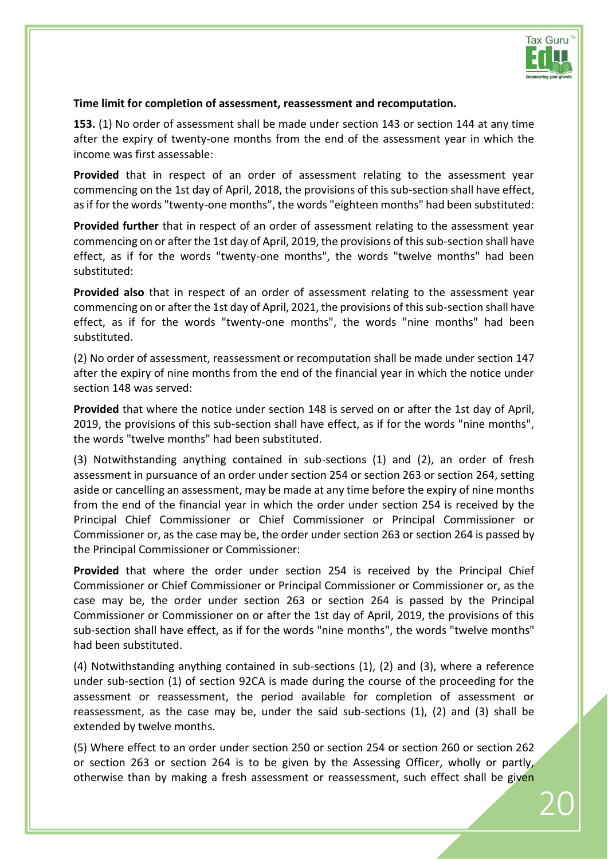

## **Time limit for completion of assessment, reassessment and recomputation.**

**153.** (1) No order of assessment shall be made under [section 143](javascript:ShowMainContent() or [section 144](javascript:ShowMainContent() at any time after the expiry of twenty-one months from the end of the assessment year in which the income was first assessable:

**Provided** that in respect of an order of assessment relating to the assessment year commencing on the 1st day of April, 2018, the provisions of this sub-section shall have effect, as if for the words "twenty-one months", the words "eighteen months" had been substituted:

**Provided further** that in respect of an order of assessment relating to the assessment year commencing on or after the 1st day of April, 2019, the provisions of this sub-section shall have effect, as if for the words "twenty-one months", the words "twelve months" had been substituted:

**Provided also** that in respect of an order of assessment relating to the assessment year commencing on or after the 1st day of April, 2021, the provisions of this sub-section shall have effect, as if for the words "twenty-one months", the words "nine months" had been substituted.

(2) No order of assessment, reassessment or recomputation shall be made under [section 147](javascript:ShowMainContent() after the expiry of nine months from the end of the financial year in which the notice under [section 148](javascript:ShowMainContent() was served:

**Provided** that where the notice under [section 148](javascript:ShowMainContent() is served on or after the 1st day of April, 2019, the provisions of this sub-section shall have effect, as if for the words "nine months", the words "twelve months" had been substituted.

(3) Notwithstanding anything contained in sub-sections (1) and (2), an order of fresh assessment in pursuance of an order unde[r section 254](javascript:ShowMainContent() o[r section 263](javascript:ShowMainContent() or [section 264,](javascript:ShowMainContent() setting aside or cancelling an assessment, may be made at any time before the expiry of nine months from the end of the financial year in which the order under [section 254](javascript:ShowMainContent() is received by the Principal Chief Commissioner or Chief Commissioner or Principal Commissioner or Commissioner or, as the case may be, the order under [section 263](javascript:ShowMainContent() o[r section 264](javascript:ShowMainContent() is passed by the Principal Commissioner or Commissioner:

**Provided** that where the order under [section 254](javascript:ShowMainContent() is received by the Principal Chief Commissioner or Chief Commissioner or Principal Commissioner or Commissioner or, as the case may be, the order under [section 263](javascript:ShowMainContent() or [section 264](javascript:ShowMainContent() is passed by the Principal Commissioner or Commissioner on or after the 1st day of April, 2019, the provisions of this sub-section shall have effect, as if for the words "nine months", the words "twelve months" had been substituted.

(4) Notwithstanding anything contained in sub-sections (1), (2) and (3), where a reference under sub-section (1) of [section 92CA](javascript:ShowMainContent() is made during the course of the proceeding for the assessment or reassessment, the period available for completion of assessment or reassessment, as the case may be, under the said sub-sections (1), (2) and (3) shall be extended by twelve months.

(5) Where effect to an order under [section 250](javascript:ShowMainContent() or [section 254](javascript:ShowMainContent() or [section 260](javascript:ShowMainContent() or [section 262](javascript:ShowMainContent() or [section 263](javascript:ShowMainContent() or [section 264](javascript:ShowMainContent() is to be given by the Assessing Officer, wholly or partly, otherwise than by making a fresh assessment or reassessment, such effect shall be given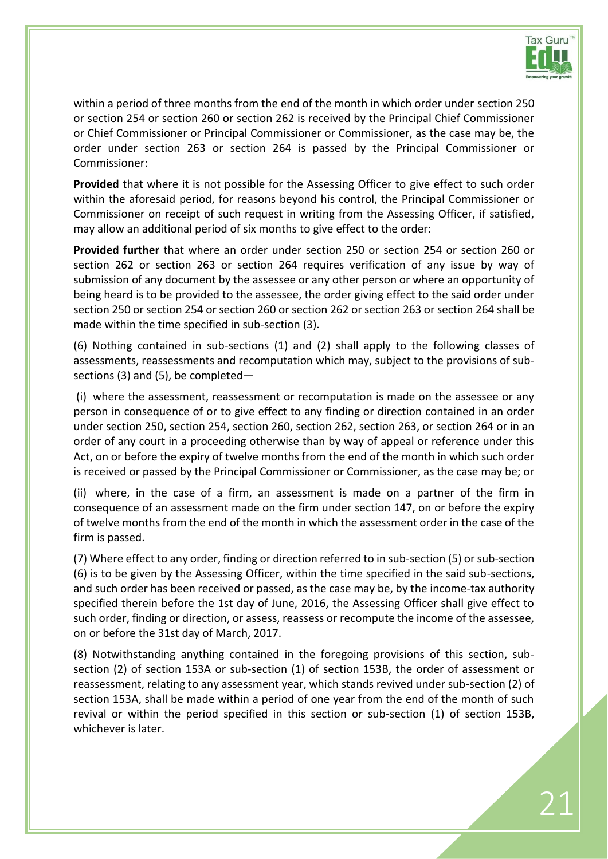

within a period of three months from the end of the month in which order under [section 250](javascript:ShowMainContent() or [section 254](javascript:ShowMainContent() or [section 260](javascript:ShowMainContent() or [section 262](javascript:ShowMainContent() is received by the Principal Chief Commissioner or Chief Commissioner or Principal Commissioner or Commissioner, as the case may be, the order under [section 263](javascript:ShowMainContent() or [section 264](javascript:ShowMainContent() is passed by the Principal Commissioner or Commissioner:

**Provided** that where it is not possible for the Assessing Officer to give effect to such order within the aforesaid period, for reasons beyond his control, the Principal Commissioner or Commissioner on receipt of such request in writing from the Assessing Officer, if satisfied, may allow an additional period of six months to give effect to the order:

**Provided further** that where an order under [section 250](javascript:ShowMainContent() or [section 254](javascript:ShowMainContent() or [section 260](javascript:ShowMainContent() or [section 262](javascript:ShowMainContent() or [section 263](javascript:ShowMainContent() or [section 264](javascript:ShowMainContent() requires verification of any issue by way of submission of any document by the assessee or any other person or where an opportunity of being heard is to be provided to the assessee, the order giving effect to the said order under [section 250](javascript:ShowMainContent() or [section 254](javascript:ShowMainContent() o[r section 260](javascript:ShowMainContent() o[r section 262](javascript:ShowMainContent() or [section 263](javascript:ShowMainContent() or [section 264](javascript:ShowMainContent() shall be made within the time specified in sub-section (3).

(6) Nothing contained in sub-sections (1) and (2) shall apply to the following classes of assessments, reassessments and recomputation which may, subject to the provisions of subsections (3) and (5), be completed—

(i) where the assessment, reassessment or recomputation is made on the assessee or any person in consequence of or to give effect to any finding or direction contained in an order under [section 250,](javascript:ShowMainContent() [section 254,](javascript:ShowMainContent() [section 260,](javascript:ShowMainContent() [section 262,](javascript:ShowMainContent() [section 263,](javascript:ShowMainContent() or [section 264](javascript:ShowMainContent() or in an order of any court in a proceeding otherwise than by way of appeal or reference under this Act, on or before the expiry of twelve months from the end of the month in which such order is received or passed by the Principal Commissioner or Commissioner, as the case may be; or

(ii) where, in the case of a firm, an assessment is made on a partner of the firm in consequence of an assessment made on the firm under [section 147,](javascript:ShowMainContent() on or before the expiry of twelve months from the end of the month in which the assessment order in the case of the firm is passed.

(7) Where effect to any order, finding or direction referred to in sub-section (5) or sub-section (6) is to be given by the Assessing Officer, within the time specified in the said sub-sections, and such order has been received or passed, as the case may be, by the income-tax authority specified therein before the 1st day of June, 2016, the Assessing Officer shall give effect to such order, finding or direction, or assess, reassess or recompute the income of the assessee, on or before the 31st day of March, 2017.

(8) Notwithstanding anything contained in the foregoing provisions of this section, subsection (2) of [section 153A](javascript:ShowMainContent() or sub-section (1) of [section 153B,](javascript:ShowMainContent() the order of assessment or reassessment, relating to any assessment year, which stands revived under sub-section (2) of [section 153A,](javascript:ShowMainContent() shall be made within a period of one year from the end of the month of such revival or within the period specified in this section or sub-section (1) of [section 153B,](javascript:ShowMainContent() whichever is later.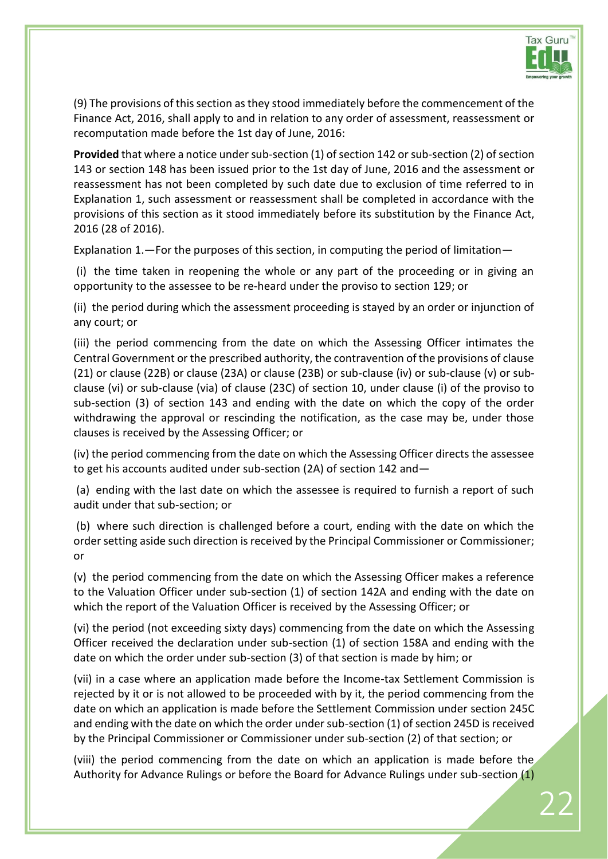

(9) The provisions of this section as they stood immediately before the commencement of the Finance Act, 2016, shall apply to and in relation to any order of assessment, reassessment or recomputation made before the 1st day of June, 2016:

**Provided** that where a notice under sub-section (1) of [section 142](javascript:ShowMainContent() or sub-section (2) o[f section](javascript:ShowMainContent()  [143](javascript:ShowMainContent() or [section 148](javascript:ShowMainContent() has been issued prior to the 1st day of June, 2016 and the assessment or reassessment has not been completed by such date due to exclusion of time referred to in Explanation 1, such assessment or reassessment shall be completed in accordance with the provisions of this section as it stood immediately before its substitution by the Finance Act, 2016 (28 of 2016).

Explanation 1.—For the purposes of this section, in computing the period of limitation—

(i) the time taken in reopening the whole or any part of the proceeding or in giving an opportunity to the assessee to be re-heard under the proviso to [section 129;](javascript:ShowMainContent() or

(ii) the period during which the assessment proceeding is stayed by an order or injunction of any court; or

(iii) the period commencing from the date on which the Assessing Officer intimates the Central Government or the prescribed authority, the contravention of the provisions of clause (21) or clause (22B) or clause (23A) or clause (23B) or sub-clause (iv) or sub-clause (v) or subclause (vi) or sub-clause (via) of clause (23C) of [section 10,](javascript:ShowMainContent() under clause (i) of the proviso to sub-section (3) of [section 143](javascript:ShowMainContent() and ending with the date on which the copy of the order withdrawing the approval or rescinding the notification, as the case may be, under those clauses is received by the Assessing Officer; or

(iv) the period commencing from the date on which the Assessing Officer directs the assessee to get his accounts audited under sub-section (2A) of [section 142](javascript:ShowMainContent() and—

(a) ending with the last date on which the assessee is required to furnish a report of such audit under that sub-section; or

(b) where such direction is challenged before a court, ending with the date on which the order setting aside such direction is received by the Principal Commissioner or Commissioner; or

(v) the period commencing from the date on which the Assessing Officer makes a reference to the Valuation Officer under sub-section (1) of [section 142A](javascript:ShowMainContent() and ending with the date on which the report of the Valuation Officer is received by the Assessing Officer; or

(vi) the period (not exceeding sixty days) commencing from the date on which the Assessing Officer received the declaration under sub-section (1) of [section 158A](javascript:ShowMainContent() and ending with the date on which the order under sub-section (3) of that section is made by him; or

(vii) in a case where an application made before the Income-tax Settlement Commission is rejected by it or is not allowed to be proceeded with by it, the period commencing from the date on which an application is made before the Settlement Commission under [section 245C](javascript:ShowMainContent() and ending with the date on which the order under sub-section (1) o[f section 245D](javascript:ShowMainContent() is received by the Principal Commissioner or Commissioner under sub-section (2) of that section; or

(viii) the period commencing from the date on which an application is made before the Authority for Advance Rulings or before the Board for Advance Rulings under sub-section (1)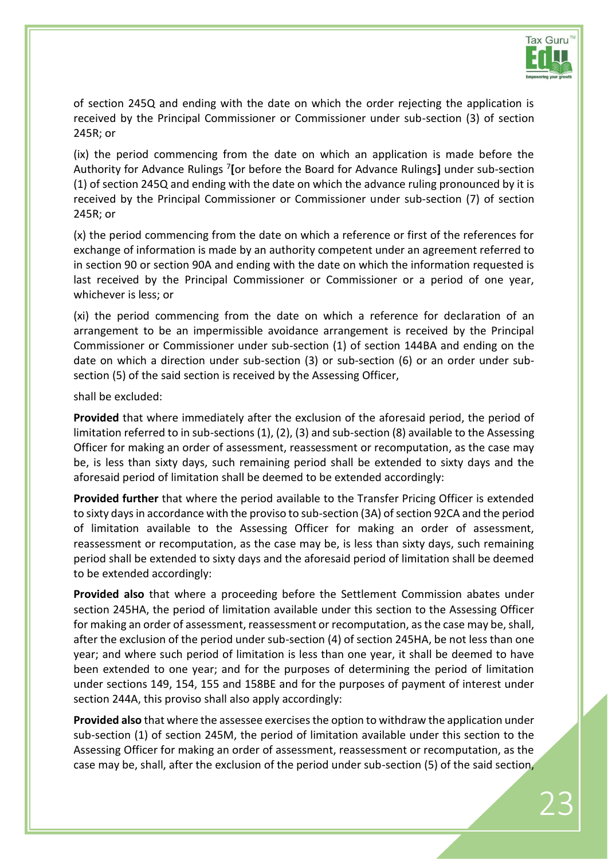

of [section 245Q](javascript:ShowMainContent() and ending with the date on which the order rejecting the application is received by the Principal Commissioner or Commissioner under sub-section (3) of [section](javascript:ShowMainContent()  [245R;](javascript:ShowMainContent() or

(ix) the period commencing from the date on which an application is made before the Authority for Advance Rulings [7](javascript:ShowFootnote() **[**or before the Board for Advance Rulings**]** under sub-section (1) of [section 245Q](javascript:ShowMainContent() and ending with the date on which the advance ruling pronounced by it is received by the Principal Commissioner or Commissioner under sub-section (7) of [section](javascript:ShowMainContent()  [245R;](javascript:ShowMainContent() or

(x) the period commencing from the date on which a reference or first of the references for exchange of information is made by an authority competent under an agreement referred to in [section 90](javascript:ShowMainContent() or [section 90A](javascript:ShowMainContent() and ending with the date on which the information requested is last received by the Principal Commissioner or Commissioner or a period of one year, whichever is less; or

(xi) the period commencing from the date on which a reference for declaration of an arrangement to be an impermissible avoidance arrangement is received by the Principal Commissioner or Commissioner under sub-section (1) of [section 144BA](javascript:ShowMainContent() and ending on the date on which a direction under sub-section (3) or sub-section (6) or an order under subsection (5) of the said section is received by the Assessing Officer,

#### shall be excluded:

**Provided** that where immediately after the exclusion of the aforesaid period, the period of limitation referred to in sub-sections (1), (2), (3) and sub-section (8) available to the Assessing Officer for making an order of assessment, reassessment or recomputation, as the case may be, is less than sixty days, such remaining period shall be extended to sixty days and the aforesaid period of limitation shall be deemed to be extended accordingly:

**Provided further** that where the period available to the Transfer Pricing Officer is extended to sixty days in accordance with the proviso to sub-section (3A) o[f section 92CA](javascript:ShowMainContent() and the period of limitation available to the Assessing Officer for making an order of assessment, reassessment or recomputation, as the case may be, is less than sixty days, such remaining period shall be extended to sixty days and the aforesaid period of limitation shall be deemed to be extended accordingly:

**Provided also** that where a proceeding before the Settlement Commission abates under [section 245HA,](javascript:ShowMainContent() the period of limitation available under this section to the Assessing Officer for making an order of assessment, reassessment or recomputation, as the case may be, shall, after the exclusion of the period under sub-section (4) of [section 245HA,](javascript:ShowMainContent() be not less than one year; and where such period of limitation is less than one year, it shall be deemed to have been extended to one year; and for the purposes of determining the period of limitation under [sections 149,](javascript:ShowMainContent() [154,](javascript:ShowMainContent() [155](javascript:ShowMainContent() and [158BE](javascript:ShowMainContent() and for the purposes of payment of interest under [section 244A,](javascript:ShowMainContent() this proviso shall also apply accordingly:

**Provided also** that where the assessee exercises the option to withdraw the application under sub-section (1) of [section 245M,](javascript:ShowMainContent() the period of limitation available under this section to the Assessing Officer for making an order of assessment, reassessment or recomputation, as the case may be, shall, after the exclusion of the period under sub-section (5) of the said section,